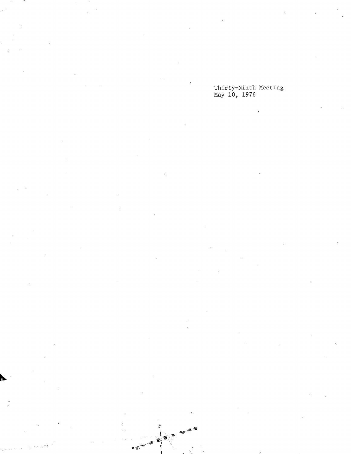# Thirty-Ninth Meeting<br>May 10, 1976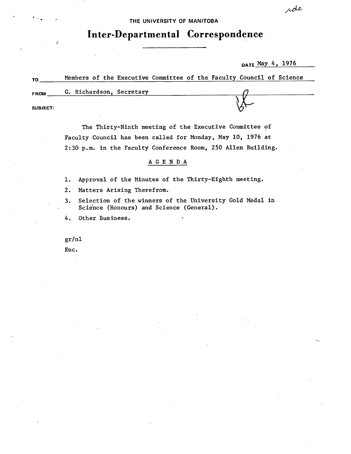THE UNIVERSITY **OF MANITOBA** 

**Inter-Departmental Correspondence** 

DATE May 4, 1976

| <b>TO</b>       | Members of the Executive Committee of the Faculty Council of Science |  |  |  |  |  |  |
|-----------------|----------------------------------------------------------------------|--|--|--|--|--|--|
| FROM            | G. Richardson, Secretary                                             |  |  |  |  |  |  |
| <b>SUBJECT:</b> |                                                                      |  |  |  |  |  |  |
|                 |                                                                      |  |  |  |  |  |  |

The Thirty-Ninth meeting of the Executive Committee of Faculty -Council. has been called for Monday, May 10, 1976 at 2:30 p.m. in the Faculty Conference Room, 250 Allen Building.

### A G E N D A

- Approval of the Minutes of the Thirty-Eighth meeting.  $1.$
- $2.$ Matters Arising Therefrom.
- Selection of the winners of the University Cold Medal in  $3.$ Science (Honours) and Science (General).
- 4. Other Business.

gr/nl

Enc.

rde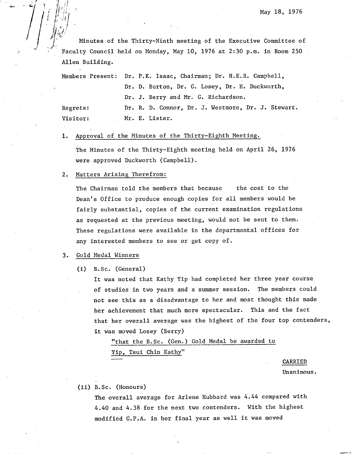Minutes of the Thirty-Ninth meeting of the Executive Committee of Faculty Council held on Monday, May 10, 1976 at 2:30 p.m. in Room 250 Allen Building.

Members Present: Dr. P.K. Isaac, Chairman; Dr. N.E.R. Campbell, Dr. D. Burton, Dr. G. Losey, Dr. H. Duckworth, Dr. J. Berry and Mr. G. Richardson. Regrets: Dr. R. D. Connor, Dr. J. Westmore, Dr. J. Stewart. Visitor: Mr. E. Lister.

Approval of the Minutes of the Thirty-Eighth Meeting. 1.

The Minutes of the Thirty-Eighth meeting held on April 26, 1976 were approved Duckworth (Campbell).

#### 2. Matters Arising Therefrom:

*/* (I.

J

The Chairman told the members that because the cost to the Dean's Office to produce enough copies for all members would be fairly substantial, copies of the current examination regulations as requested at the previous meeting, would not be sent to them. These regulations were available in the departmental offices for any interested members to see or get copy of.

#### $3.$ Gold Medal Winners

(1) B.Sc. (General)

It was noted that Kathy Yip had completed her three year course of studies in two years and a summer session. The members could not see this as a disadvantage to her and most thought this made her achievement that much more spectacular. This and the fact that her overall average was the highest of the four top contenders, it was moved Losey (Berry)

"that the B.Sc. (Gen.) Gold Medal be awarded to Yip, Tsui Chin Kathy"

CARRIED

Unanimous.

### (ii) B.Sc. (Honours)

The overall average for Arlene Hubbard was 4.44 compared with 4.40 and 4.38 for the next two contenders. With the highest modified G.P.A. in her final year as well it was moved